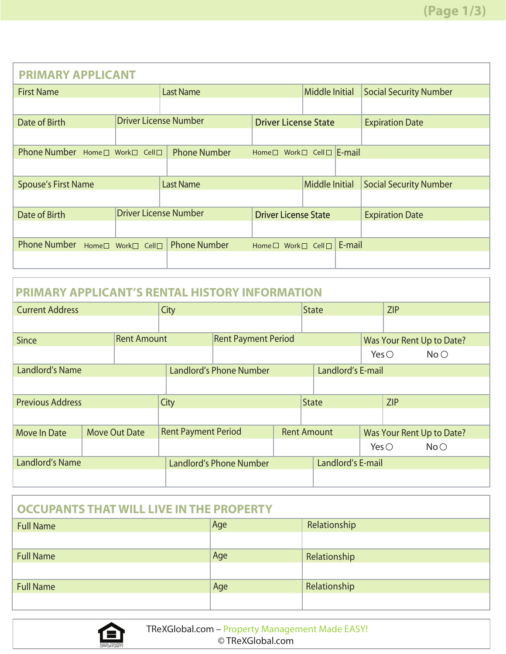| <b>PRIMARY APPLICANT</b>                      |                              |                             |                             |                       |           |                               |
|-----------------------------------------------|------------------------------|-----------------------------|-----------------------------|-----------------------|-----------|-------------------------------|
| <b>First Name</b>                             |                              | <b>Last Name</b>            |                             | Middle Initial        |           | <b>Social Security Number</b> |
|                                               |                              |                             |                             |                       |           |                               |
| <b>Driver License Number</b><br>Date of Birth |                              | <b>Driver License State</b> |                             |                       |           | <b>Expiration Date</b>        |
|                                               |                              |                             |                             |                       |           |                               |
| Phone Number Home□ Work□ Cell□                |                              | <b>Phone Number</b>         | Home□ Work□ Cell□           |                       | $E$ -mail |                               |
|                                               |                              |                             |                             |                       |           |                               |
| <b>Spouse's First Name</b>                    |                              | <b>Last Name</b>            |                             | <b>Middle Initial</b> |           | <b>Social Security Number</b> |
|                                               |                              |                             |                             |                       |           |                               |
| Date of Birth                                 | <b>Driver License Number</b> |                             | <b>Driver License State</b> |                       |           | <b>Expiration Date</b>        |
|                                               |                              |                             |                             |                       |           |                               |
| <b>Phone Number</b>                           | Home□ Work□ Cell□            | <b>Phone Number</b>         | Home □ Work □ Cell □        |                       | E-mail    |                               |
|                                               |                              |                             |                             |                       |           |                               |

| <b>PRIMARY APPLICANT'S RENTAL HISTORY INFORMATION</b> |                    |                            |                                |  |                    |                |                           |  |
|-------------------------------------------------------|--------------------|----------------------------|--------------------------------|--|--------------------|----------------|---------------------------|--|
| <b>Current Address</b>                                |                    | City                       |                                |  | State              | <b>ZIP</b>     |                           |  |
|                                                       |                    |                            |                                |  |                    |                |                           |  |
| Since                                                 | <b>Rent Amount</b> |                            | <b>Rent Payment Period</b>     |  |                    |                | Was Your Rent Up to Date? |  |
|                                                       |                    |                            |                                |  |                    | Yes $\bigcirc$ | No O                      |  |
| Landlord's Name                                       |                    |                            | Landlord's Phone Number        |  | Landlord's E-mail  |                |                           |  |
|                                                       |                    |                            |                                |  |                    |                |                           |  |
| <b>Previous Address</b>                               |                    | City                       |                                |  | <b>State</b>       | ZIP            |                           |  |
|                                                       |                    |                            |                                |  |                    |                |                           |  |
| <b>Move In Date</b>                                   | Move Out Date      | <b>Rent Payment Period</b> |                                |  | <b>Rent Amount</b> |                | Was Your Rent Up to Date? |  |
|                                                       |                    |                            |                                |  |                    | Yes $\bigcirc$ | No                        |  |
| Landlord's Name                                       |                    |                            | <b>Landlord's Phone Number</b> |  | Landlord's E-mail  |                |                           |  |
|                                                       |                    |                            |                                |  |                    |                |                           |  |

| <b>OCCUPANTS THAT WILL LIVE IN THE PROPERTY</b> |     |              |
|-------------------------------------------------|-----|--------------|
| <b>Full Name</b>                                | Age | Relationship |
|                                                 |     |              |
| <b>Full Name</b>                                | Age | Relationship |
|                                                 |     |              |
| <b>Full Name</b>                                | Age | Relationship |
|                                                 |     |              |

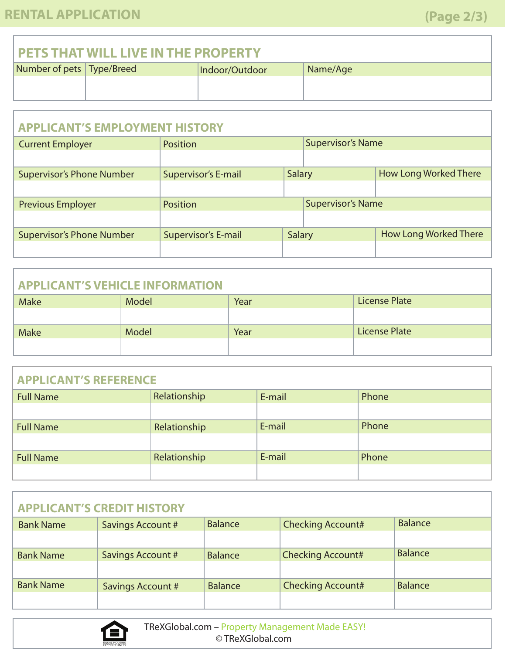### **PETS THAT WILL LIVE IN THE PROPERTY**

| Number of pets   Type/Breed | Indoor/Outdoor | Name/Age |
|-----------------------------|----------------|----------|
|                             |                |          |
|                             |                |          |

| <b>APPLICANT'S EMPLOYMENT HISTORY</b> |                            |               |                          |                              |
|---------------------------------------|----------------------------|---------------|--------------------------|------------------------------|
| <b>Current Employer</b>               | Position                   |               | <b>Supervisor's Name</b> |                              |
|                                       |                            |               |                          |                              |
| <b>Supervisor's Phone Number</b>      | <b>Supervisor's E-mail</b> | <b>Salary</b> |                          | <b>How Long Worked There</b> |
|                                       |                            |               |                          |                              |
| <b>Previous Employer</b>              | Position                   |               | <b>Supervisor's Name</b> |                              |
|                                       |                            |               |                          |                              |
| <b>Supervisor's Phone Number</b>      | <b>Supervisor's E-mail</b> | Salary        |                          | <b>How Long Worked There</b> |
|                                       |                            |               |                          |                              |

# Make Model Model Rear Rear Readers and License Plate **APPLICANT'S VEHICLE INFORMATION** Year Make Model Model **Model** Year License Plate

| <b>APPLICANT'S REFERENCE</b> |              |        |       |
|------------------------------|--------------|--------|-------|
| <b>Full Name</b>             | Relationship | E-mail | Phone |
|                              |              |        |       |
| <b>Full Name</b>             | Relationship | E-mail | Phone |
|                              |              |        |       |
| <b>Full Name</b>             | Relationship | E-mail | Phone |
|                              |              |        |       |

|                  | <b>APPLICANT'S CREDIT HISTORY</b> |                |                          |                |
|------------------|-----------------------------------|----------------|--------------------------|----------------|
| <b>Bank Name</b> | <b>Savings Account #</b>          | <b>Balance</b> | <b>Checking Account#</b> | <b>Balance</b> |
|                  |                                   |                |                          |                |
| <b>Bank Name</b> | <b>Savings Account #</b>          | <b>Balance</b> | <b>Checking Account#</b> | <b>Balance</b> |
|                  |                                   |                |                          |                |
| <b>Bank Name</b> | <b>Savings Account #</b>          | <b>Balance</b> | <b>Checking Account#</b> | <b>Balance</b> |
|                  |                                   |                |                          |                |

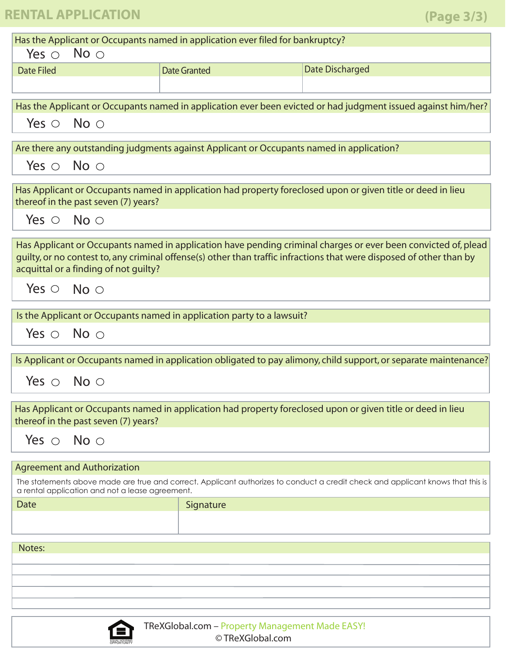## **RENTAL APPLICATION**

| Has the Applicant or Occupants named in application ever filed for bankruptcy? |                                                                                                                    |                                                                        |                                                                                                                                                                                                                                        |  |  |
|--------------------------------------------------------------------------------|--------------------------------------------------------------------------------------------------------------------|------------------------------------------------------------------------|----------------------------------------------------------------------------------------------------------------------------------------------------------------------------------------------------------------------------------------|--|--|
| Yes $\circ$ No $\circ$                                                         |                                                                                                                    |                                                                        |                                                                                                                                                                                                                                        |  |  |
| <b>Date Filed</b>                                                              |                                                                                                                    | <b>Date Granted</b>                                                    | <b>Date Discharged</b>                                                                                                                                                                                                                 |  |  |
|                                                                                |                                                                                                                    |                                                                        |                                                                                                                                                                                                                                        |  |  |
|                                                                                |                                                                                                                    |                                                                        | Has the Applicant or Occupants named in application ever been evicted or had judgment issued against him/her?                                                                                                                          |  |  |
| Yes $\circ$ No $\circ$                                                         |                                                                                                                    |                                                                        |                                                                                                                                                                                                                                        |  |  |
|                                                                                |                                                                                                                    |                                                                        |                                                                                                                                                                                                                                        |  |  |
|                                                                                | Are there any outstanding judgments against Applicant or Occupants named in application?<br>Yes $\circ$ No $\circ$ |                                                                        |                                                                                                                                                                                                                                        |  |  |
|                                                                                |                                                                                                                    |                                                                        |                                                                                                                                                                                                                                        |  |  |
|                                                                                | thereof in the past seven (7) years?                                                                               |                                                                        | Has Applicant or Occupants named in application had property foreclosed upon or given title or deed in lieu                                                                                                                            |  |  |
| Yes $\circ$ No $\circ$                                                         |                                                                                                                    |                                                                        |                                                                                                                                                                                                                                        |  |  |
|                                                                                |                                                                                                                    |                                                                        |                                                                                                                                                                                                                                        |  |  |
|                                                                                | acquittal or a finding of not guilty?                                                                              |                                                                        | Has Applicant or Occupants named in application have pending criminal charges or ever been convicted of, plead<br>guilty, or no contest to, any criminal offense(s) other than traffic infractions that were disposed of other than by |  |  |
| Yes $\circ$ No $\circ$                                                         |                                                                                                                    |                                                                        |                                                                                                                                                                                                                                        |  |  |
|                                                                                |                                                                                                                    | Is the Applicant or Occupants named in application party to a lawsuit? |                                                                                                                                                                                                                                        |  |  |
|                                                                                | Yes $\circ$ No $\circ$                                                                                             |                                                                        |                                                                                                                                                                                                                                        |  |  |
|                                                                                |                                                                                                                    |                                                                        |                                                                                                                                                                                                                                        |  |  |
|                                                                                |                                                                                                                    |                                                                        | Is Applicant or Occupants named in application obligated to pay alimony, child support, or separate maintenance?                                                                                                                       |  |  |
| Yes $\circ$ No $\circ$                                                         |                                                                                                                    |                                                                        |                                                                                                                                                                                                                                        |  |  |
|                                                                                | thereof in the past seven (7) years?                                                                               |                                                                        | Has Applicant or Occupants named in application had property foreclosed upon or given title or deed in lieu                                                                                                                            |  |  |
| Yes $\circ$ No $\circ$                                                         |                                                                                                                    |                                                                        |                                                                                                                                                                                                                                        |  |  |
|                                                                                | <b>Agreement and Authorization</b>                                                                                 |                                                                        |                                                                                                                                                                                                                                        |  |  |
|                                                                                | a rental application and not a lease agreement.                                                                    |                                                                        | The statements above made are true and correct. Applicant authorizes to conduct a credit check and applicant knows that this is                                                                                                        |  |  |
| Date                                                                           |                                                                                                                    | Signature                                                              |                                                                                                                                                                                                                                        |  |  |
|                                                                                |                                                                                                                    |                                                                        |                                                                                                                                                                                                                                        |  |  |
|                                                                                |                                                                                                                    |                                                                        |                                                                                                                                                                                                                                        |  |  |
| Notes:                                                                         |                                                                                                                    |                                                                        |                                                                                                                                                                                                                                        |  |  |